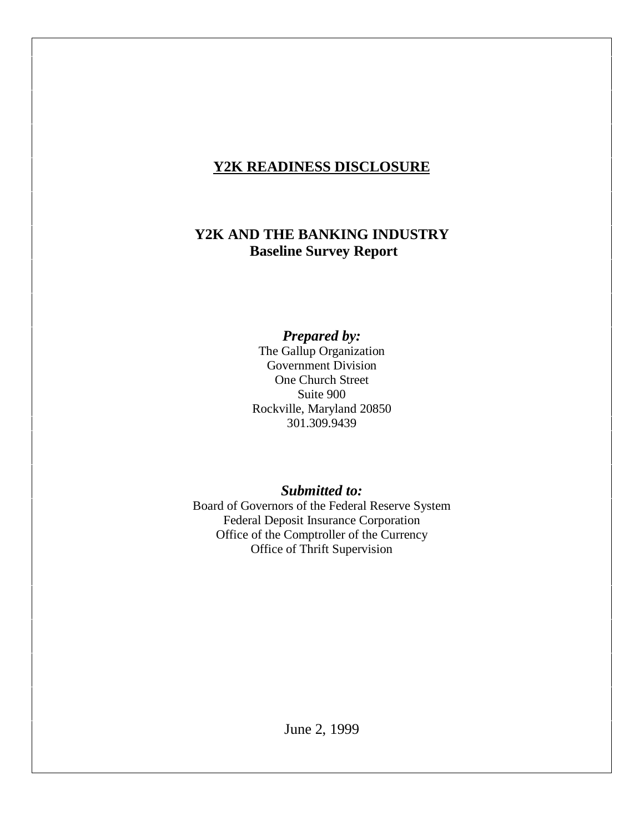# **Y2K READINESS DISCLOSURE**

## **Y2K AND THE BANKING INDUSTRY Baseline Survey Report**

*Prepared by:*

The Gallup Organization Government Division One Church Street Suite 900 Rockville, Maryland 20850 301.309.9439

### *Submitted to:*

Board of Governors of the Federal Reserve System Federal Deposit Insurance Corporation Office of the Comptroller of the Currency Office of Thrift Supervision

June 2, 1999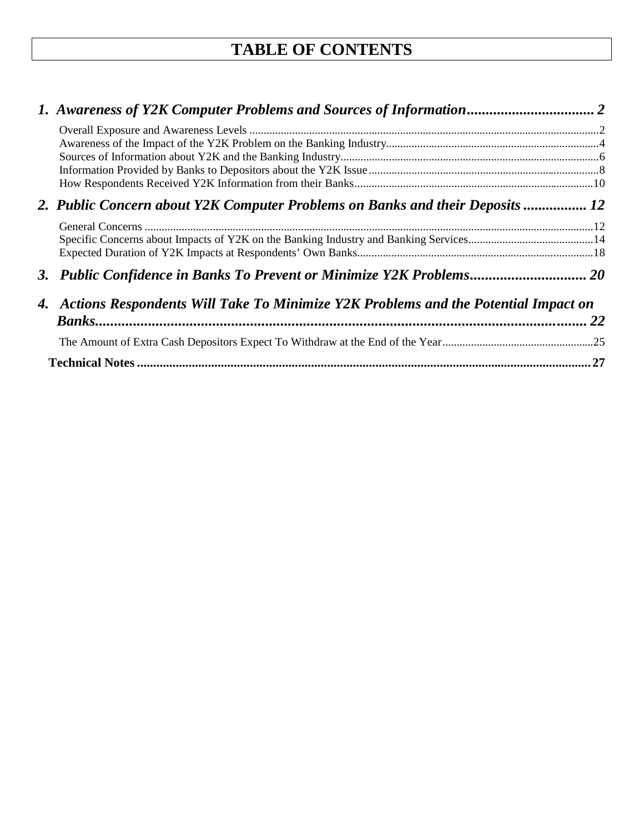# **TABLE OF CONTENTS**

| 2. Public Concern about Y2K Computer Problems on Banks and their Deposits  12         |    |  |  |
|---------------------------------------------------------------------------------------|----|--|--|
|                                                                                       |    |  |  |
|                                                                                       |    |  |  |
|                                                                                       |    |  |  |
| 3. Public Confidence in Banks To Prevent or Minimize Y2K Problems 20                  |    |  |  |
| 4. Actions Respondents Will Take To Minimize Y2K Problems and the Potential Impact on |    |  |  |
|                                                                                       | 22 |  |  |
|                                                                                       |    |  |  |
|                                                                                       |    |  |  |
|                                                                                       |    |  |  |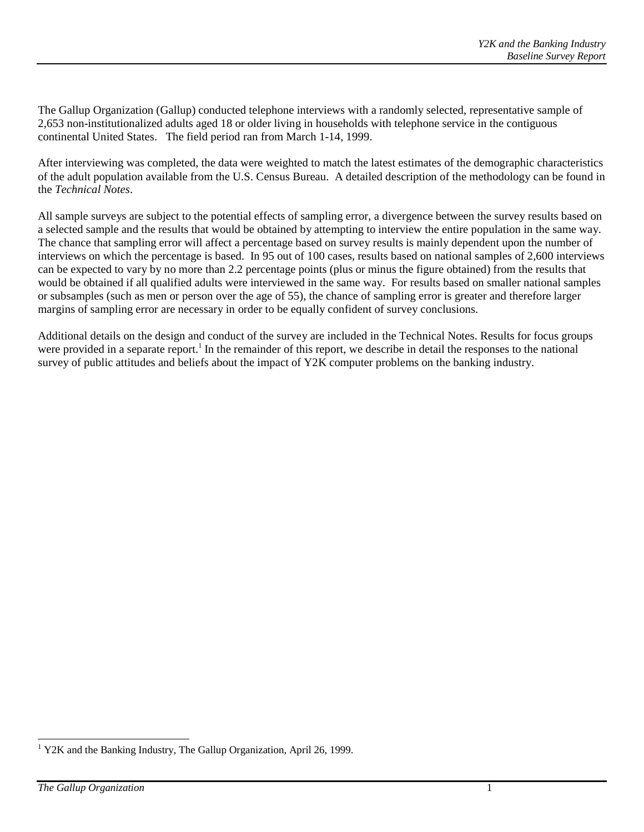The Gallup Organization (Gallup) conducted telephone interviews with a randomly selected, representative sample of 2,653 non-institutionalized adults aged 18 or older living in households with telephone service in the contiguous continental United States. The field period ran from March 1-14, 1999.

After interviewing was completed, the data were weighted to match the latest estimates of the demographic characteristics of the adult population available from the U.S. Census Bureau. A detailed description of the methodology can be found in the *Technical Notes*.

All sample surveys are subject to the potential effects of sampling error, a divergence between the survey results based on a selected sample and the results that would be obtained by attempting to interview the entire population in the same way. The chance that sampling error will affect a percentage based on survey results is mainly dependent upon the number of interviews on which the percentage is based. In 95 out of 100 cases, results based on national samples of 2,600 interviews can be expected to vary by no more than 2.2 percentage points (plus or minus the figure obtained) from the results that would be obtained if all qualified adults were interviewed in the same way. For results based on smaller national samples or subsamples (such as men or person over the age of 55), the chance of sampling error is greater and therefore larger margins of sampling error are necessary in order to be equally confident of survey conclusions.

Additional details on the design and conduct of the survey are included in the Technical Notes. Results for focus groups were provided in a separate report.<sup>1</sup> In the remainder of this report, we describe in detail the responses to the national survey of public attitudes and beliefs about the impact of Y2K computer problems on the banking industry.

 $\overline{a}$ 

<sup>&</sup>lt;sup>1</sup> Y2K and the Banking Industry, The Gallup Organization, April 26, 1999.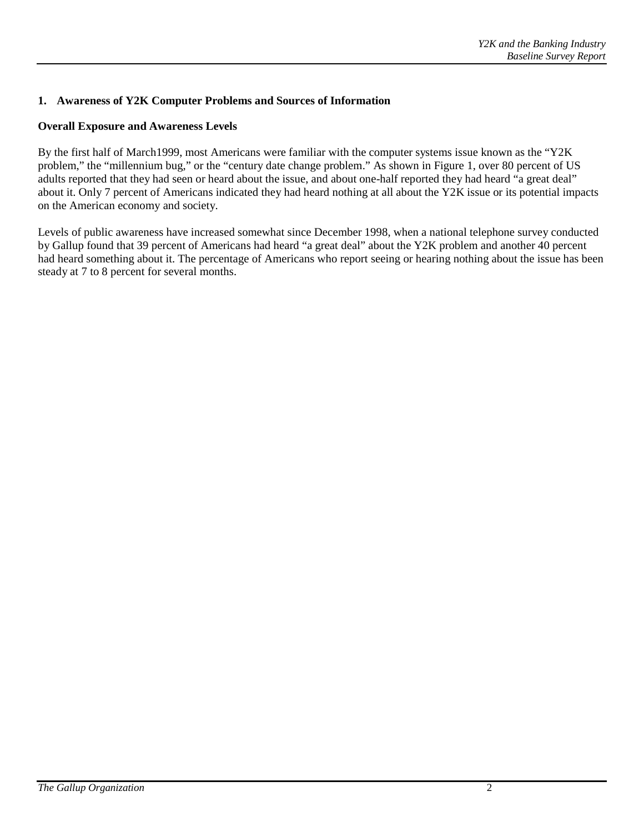### **1. Awareness of Y2K Computer Problems and Sources of Information**

#### **Overall Exposure and Awareness Levels**

By the first half of March1999, most Americans were familiar with the computer systems issue known as the "Y2K problem," the "millennium bug," or the "century date change problem." As shown in Figure 1, over 80 percent of US adults reported that they had seen or heard about the issue, and about one-half reported they had heard "a great deal" about it. Only 7 percent of Americans indicated they had heard nothing at all about the Y2K issue or its potential impacts on the American economy and society.

Levels of public awareness have increased somewhat since December 1998, when a national telephone survey conducted by Gallup found that 39 percent of Americans had heard "a great deal" about the Y2K problem and another 40 percent had heard something about it. The percentage of Americans who report seeing or hearing nothing about the issue has been steady at 7 to 8 percent for several months.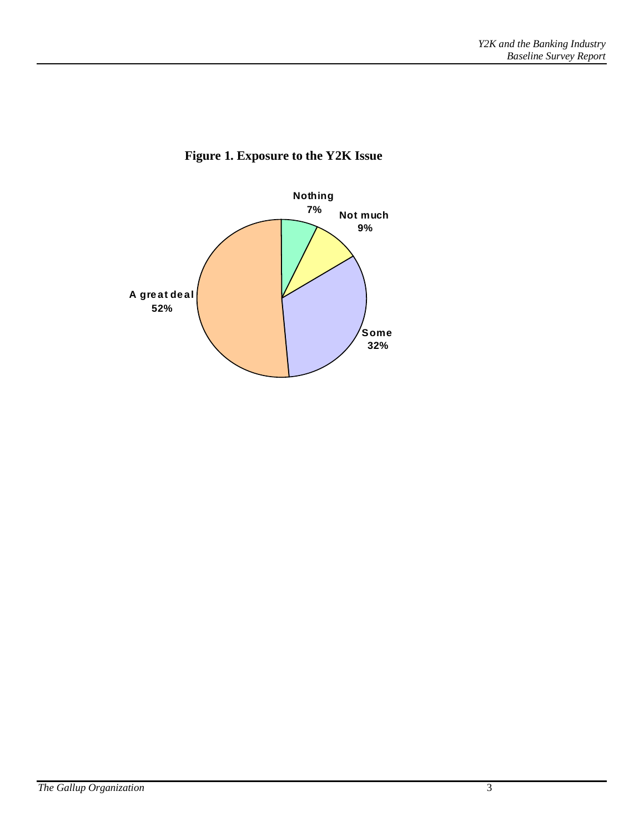

### **Figure 1. Exposure to the Y2K Issue**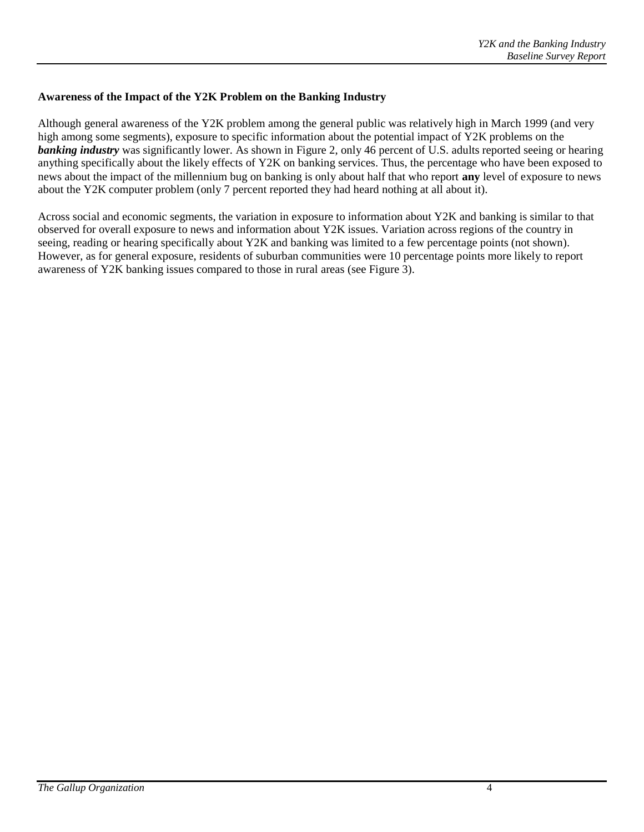#### **Awareness of the Impact of the Y2K Problem on the Banking Industry**

Although general awareness of the Y2K problem among the general public was relatively high in March 1999 (and very high among some segments), exposure to specific information about the potential impact of Y2K problems on the *banking industry* was significantly lower. As shown in Figure 2, only 46 percent of U.S. adults reported seeing or hearing anything specifically about the likely effects of Y2K on banking services. Thus, the percentage who have been exposed to news about the impact of the millennium bug on banking is only about half that who report **any** level of exposure to news about the Y2K computer problem (only 7 percent reported they had heard nothing at all about it).

Across social and economic segments, the variation in exposure to information about Y2K and banking is similar to that observed for overall exposure to news and information about Y2K issues. Variation across regions of the country in seeing, reading or hearing specifically about Y2K and banking was limited to a few percentage points (not shown). However, as for general exposure, residents of suburban communities were 10 percentage points more likely to report awareness of Y2K banking issues compared to those in rural areas (see Figure 3).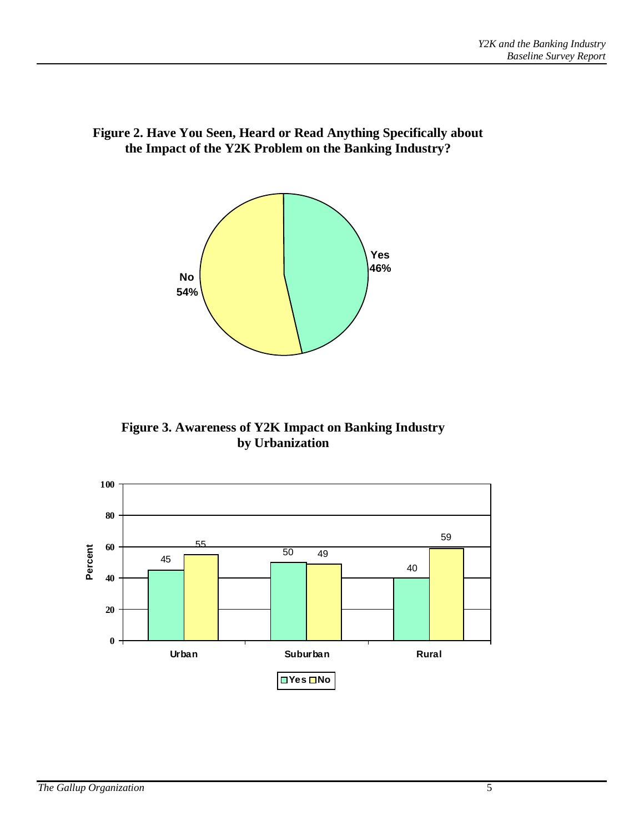

**Figure 2. Have You Seen, Heard or Read Anything Specifically about the Impact of the Y2K Problem on the Banking Industry?**

**Figure 3. Awareness of Y2K Impact on Banking Industry by Urbanization**

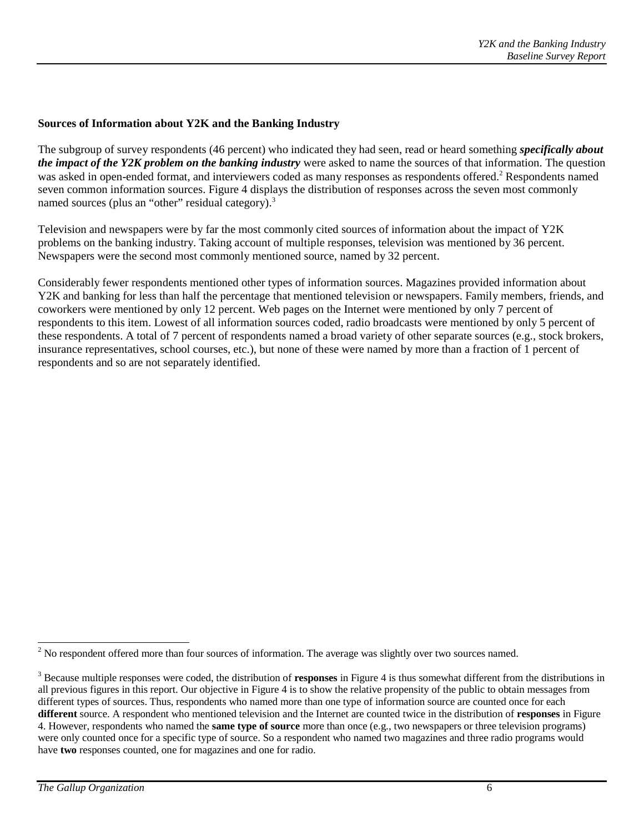#### **Sources of Information about Y2K and the Banking Industry**

The subgroup of survey respondents (46 percent) who indicated they had seen, read or heard something *specifically about the impact of the Y2K problem on the banking industry* were asked to name the sources of that information. The question was asked in open-ended format, and interviewers coded as many responses as respondents offered.<sup>2</sup> Respondents named seven common information sources. Figure 4 displays the distribution of responses across the seven most commonly named sources (plus an "other" residual category).<sup>3</sup>

Television and newspapers were by far the most commonly cited sources of information about the impact of Y2K problems on the banking industry. Taking account of multiple responses, television was mentioned by 36 percent. Newspapers were the second most commonly mentioned source, named by 32 percent.

Considerably fewer respondents mentioned other types of information sources. Magazines provided information about Y2K and banking for less than half the percentage that mentioned television or newspapers. Family members, friends, and coworkers were mentioned by only 12 percent. Web pages on the Internet were mentioned by only 7 percent of respondents to this item. Lowest of all information sources coded, radio broadcasts were mentioned by only 5 percent of these respondents. A total of 7 percent of respondents named a broad variety of other separate sources (e.g., stock brokers, insurance representatives, school courses, etc.), but none of these were named by more than a fraction of 1 percent of respondents and so are not separately identified.

<sup>&</sup>lt;sup>2</sup> No respondent offered more than four sources of information. The average was slightly over two sources named.

<sup>&</sup>lt;sup>3</sup> Because multiple responses were coded, the distribution of **responses** in Figure 4 is thus somewhat different from the distributions in all previous figures in this report. Our objective in Figure 4 is to show the relative propensity of the public to obtain messages from different types of sources. Thus, respondents who named more than one type of information source are counted once for each **different** source. A respondent who mentioned television and the Internet are counted twice in the distribution of **responses** in Figure 4. However, respondents who named the **same type of source** more than once (e.g., two newspapers or three television programs) were only counted once for a specific type of source. So a respondent who named two magazines and three radio programs would have **two** responses counted, one for magazines and one for radio.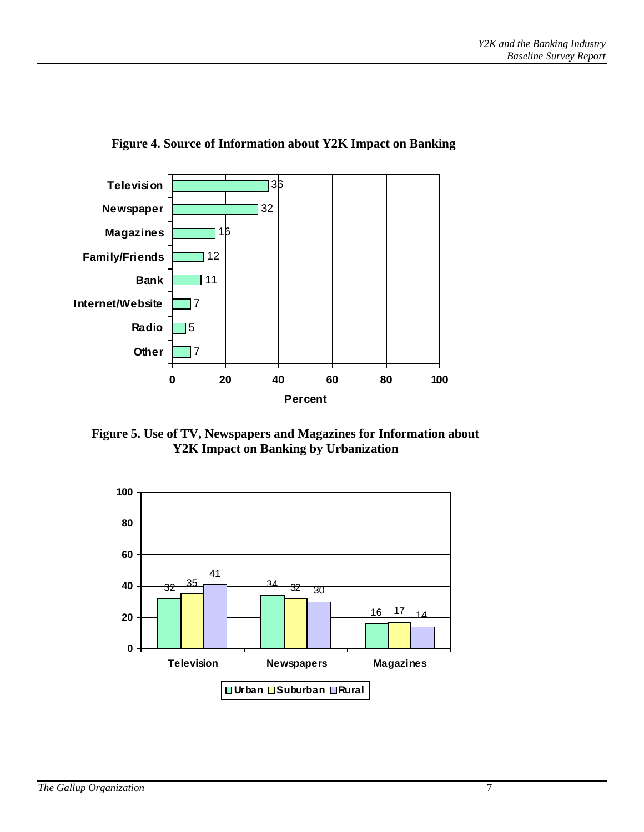

**Figure 4. Source of Information about Y2K Impact on Banking**

**Figure 5. Use of TV, Newspapers and Magazines for Information about Y2K Impact on Banking by Urbanization**

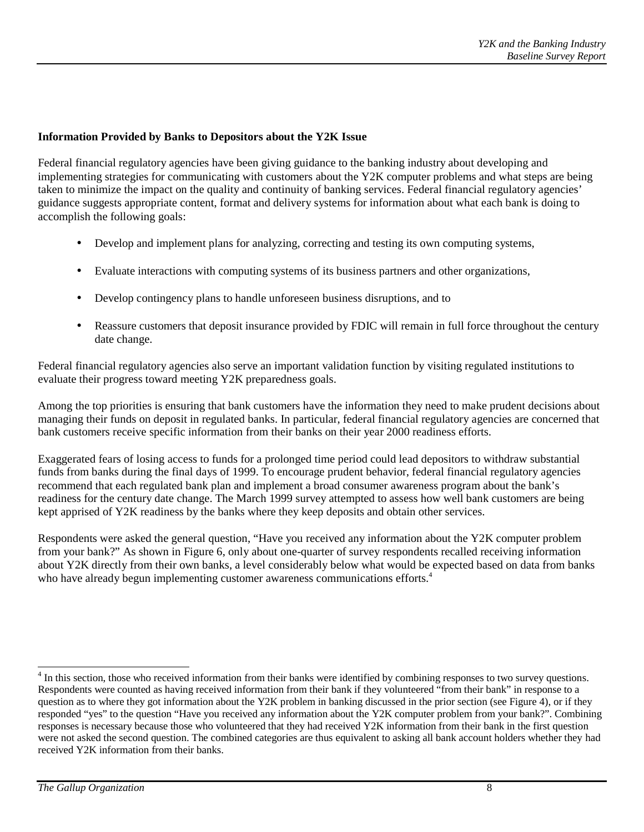#### **Information Provided by Banks to Depositors about the Y2K Issue**

Federal financial regulatory agencies have been giving guidance to the banking industry about developing and implementing strategies for communicating with customers about the Y2K computer problems and what steps are being taken to minimize the impact on the quality and continuity of banking services. Federal financial regulatory agencies' guidance suggests appropriate content, format and delivery systems for information about what each bank is doing to accomplish the following goals:

- Develop and implement plans for analyzing, correcting and testing its own computing systems,
- Evaluate interactions with computing systems of its business partners and other organizations,
- Develop contingency plans to handle unforeseen business disruptions, and to
- Reassure customers that deposit insurance provided by FDIC will remain in full force throughout the century date change.

Federal financial regulatory agencies also serve an important validation function by visiting regulated institutions to evaluate their progress toward meeting Y2K preparedness goals.

Among the top priorities is ensuring that bank customers have the information they need to make prudent decisions about managing their funds on deposit in regulated banks. In particular, federal financial regulatory agencies are concerned that bank customers receive specific information from their banks on their year 2000 readiness efforts.

Exaggerated fears of losing access to funds for a prolonged time period could lead depositors to withdraw substantial funds from banks during the final days of 1999. To encourage prudent behavior, federal financial regulatory agencies recommend that each regulated bank plan and implement a broad consumer awareness program about the bank's readiness for the century date change. The March 1999 survey attempted to assess how well bank customers are being kept apprised of Y2K readiness by the banks where they keep deposits and obtain other services.

Respondents were asked the general question, "Have you received any information about the Y2K computer problem from your bank?" As shown in Figure 6, only about one-quarter of survey respondents recalled receiving information about Y2K directly from their own banks, a level considerably below what would be expected based on data from banks who have already begun implementing customer awareness communications efforts.<sup>4</sup>

 $\overline{a}$ 

<sup>&</sup>lt;sup>4</sup> In this section, those who received information from their banks were identified by combining responses to two survey questions. Respondents were counted as having received information from their bank if they volunteered "from their bank" in response to a question as to where they got information about the Y2K problem in banking discussed in the prior section (see Figure 4), or if they responded "yes" to the question "Have you received any information about the Y2K computer problem from your bank?". Combining responses is necessary because those who volunteered that they had received Y2K information from their bank in the first question were not asked the second question. The combined categories are thus equivalent to asking all bank account holders whether they had received Y2K information from their banks.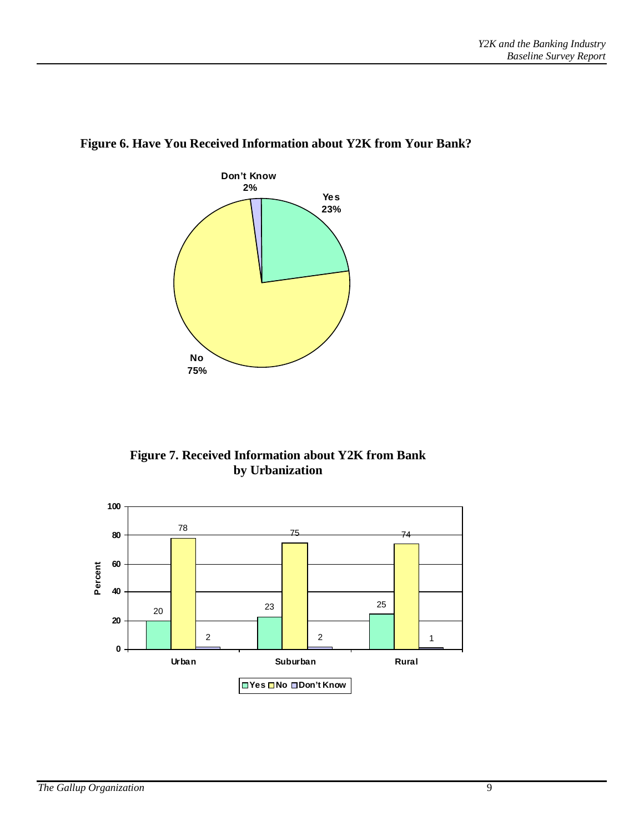

### **Figure 6. Have You Received Information about Y2K from Your Bank?**



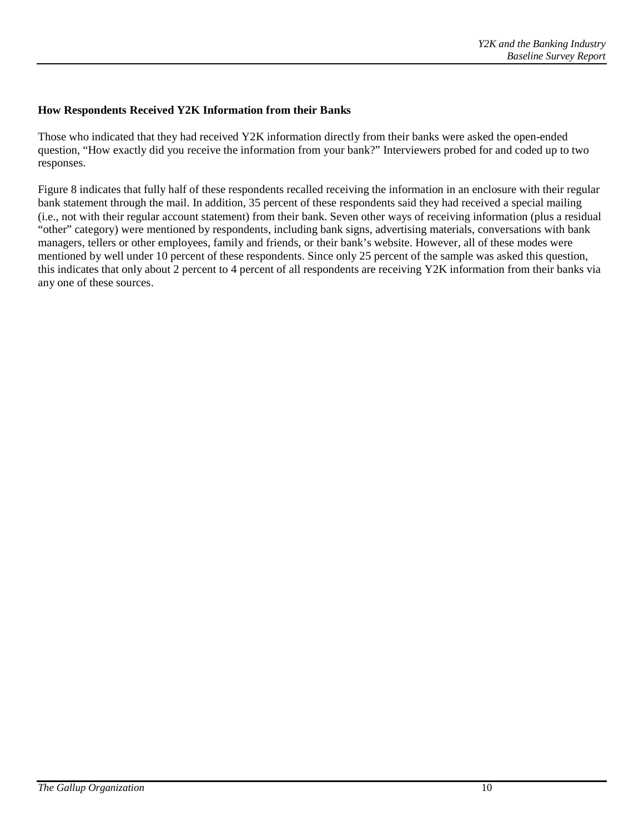#### **How Respondents Received Y2K Information from their Banks**

Those who indicated that they had received Y2K information directly from their banks were asked the open-ended question, "How exactly did you receive the information from your bank?" Interviewers probed for and coded up to two responses.

Figure 8 indicates that fully half of these respondents recalled receiving the information in an enclosure with their regular bank statement through the mail. In addition, 35 percent of these respondents said they had received a special mailing (i.e., not with their regular account statement) from their bank. Seven other ways of receiving information (plus a residual "other" category) were mentioned by respondents, including bank signs, advertising materials, conversations with bank managers, tellers or other employees, family and friends, or their bank's website. However, all of these modes were mentioned by well under 10 percent of these respondents. Since only 25 percent of the sample was asked this question, this indicates that only about 2 percent to 4 percent of all respondents are receiving Y2K information from their banks via any one of these sources.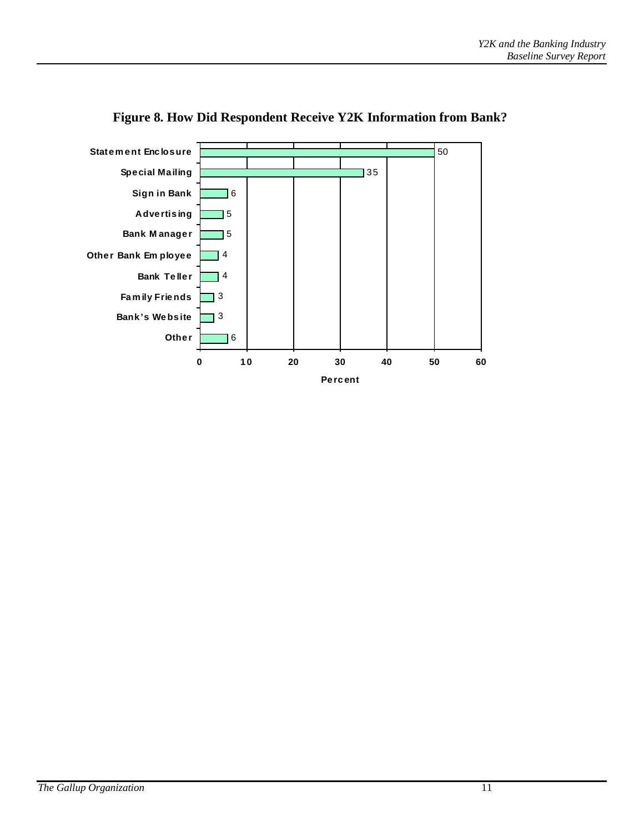

### **Figure 8. How Did Respondent Receive Y2K Information from Bank?**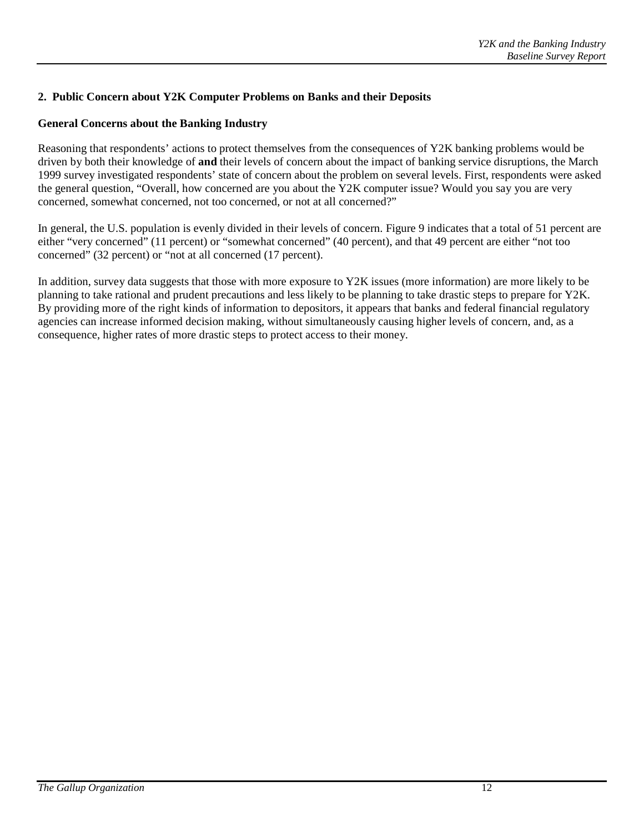### **2. Public Concern about Y2K Computer Problems on Banks and their Deposits**

### **General Concerns about the Banking Industry**

Reasoning that respondents' actions to protect themselves from the consequences of Y2K banking problems would be driven by both their knowledge of **and** their levels of concern about the impact of banking service disruptions, the March 1999 survey investigated respondents' state of concern about the problem on several levels. First, respondents were asked the general question, "Overall, how concerned are you about the Y2K computer issue? Would you say you are very concerned, somewhat concerned, not too concerned, or not at all concerned?"

In general, the U.S. population is evenly divided in their levels of concern. Figure 9 indicates that a total of 51 percent are either "very concerned" (11 percent) or "somewhat concerned" (40 percent), and that 49 percent are either "not too concerned" (32 percent) or "not at all concerned (17 percent).

In addition, survey data suggests that those with more exposure to Y2K issues (more information) are more likely to be planning to take rational and prudent precautions and less likely to be planning to take drastic steps to prepare for Y2K. By providing more of the right kinds of information to depositors, it appears that banks and federal financial regulatory agencies can increase informed decision making, without simultaneously causing higher levels of concern, and, as a consequence, higher rates of more drastic steps to protect access to their money.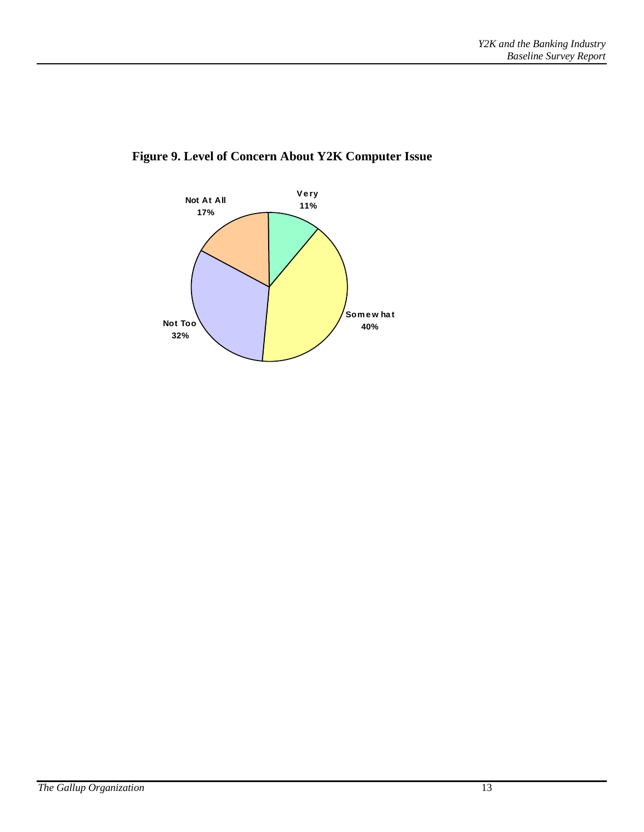

### **Figure 9. Level of Concern About Y2K Computer Issue**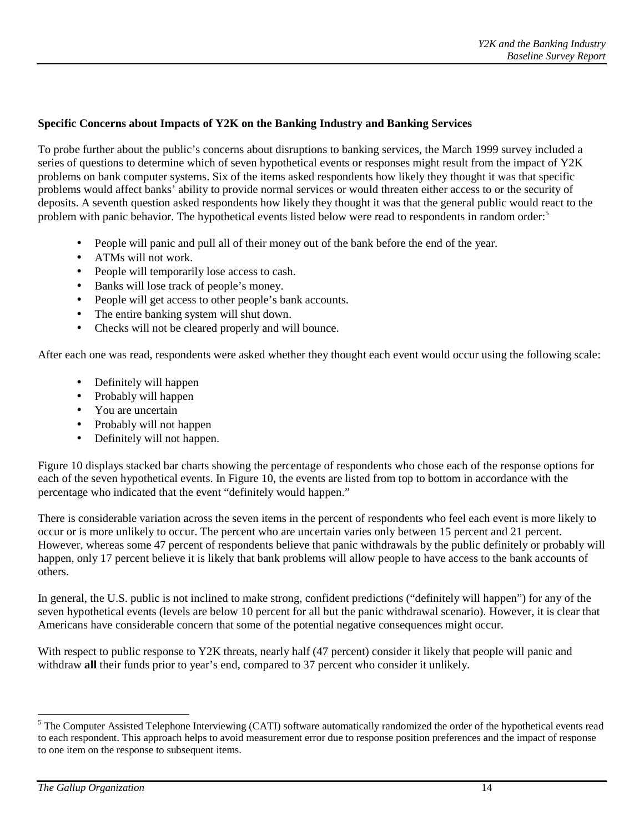### **Specific Concerns about Impacts of Y2K on the Banking Industry and Banking Services**

To probe further about the public's concerns about disruptions to banking services, the March 1999 survey included a series of questions to determine which of seven hypothetical events or responses might result from the impact of Y2K problems on bank computer systems. Six of the items asked respondents how likely they thought it was that specific problems would affect banks' ability to provide normal services or would threaten either access to or the security of deposits. A seventh question asked respondents how likely they thought it was that the general public would react to the problem with panic behavior. The hypothetical events listed below were read to respondents in random order:<sup>5</sup>

- People will panic and pull all of their money out of the bank before the end of the year.
- ATMs will not work.
- People will temporarily lose access to cash.
- Banks will lose track of people's money.
- People will get access to other people's bank accounts.
- The entire banking system will shut down.
- Checks will not be cleared properly and will bounce.

After each one was read, respondents were asked whether they thought each event would occur using the following scale:

- Definitely will happen
- Probably will happen
- You are uncertain
- Probably will not happen
- Definitely will not happen.

Figure 10 displays stacked bar charts showing the percentage of respondents who chose each of the response options for each of the seven hypothetical events. In Figure 10, the events are listed from top to bottom in accordance with the percentage who indicated that the event "definitely would happen."

There is considerable variation across the seven items in the percent of respondents who feel each event is more likely to occur or is more unlikely to occur. The percent who are uncertain varies only between 15 percent and 21 percent. However, whereas some 47 percent of respondents believe that panic withdrawals by the public definitely or probably will happen, only 17 percent believe it is likely that bank problems will allow people to have access to the bank accounts of others.

In general, the U.S. public is not inclined to make strong, confident predictions ("definitely will happen") for any of the seven hypothetical events (levels are below 10 percent for all but the panic withdrawal scenario). However, it is clear that Americans have considerable concern that some of the potential negative consequences might occur.

With respect to public response to Y2K threats, nearly half (47 percent) consider it likely that people will panic and withdraw **all** their funds prior to year's end, compared to 37 percent who consider it unlikely.

<sup>&</sup>lt;sup>5</sup> The Computer Assisted Telephone Interviewing (CATI) software automatically randomized the order of the hypothetical events read to each respondent. This approach helps to avoid measurement error due to response position preferences and the impact of response to one item on the response to subsequent items.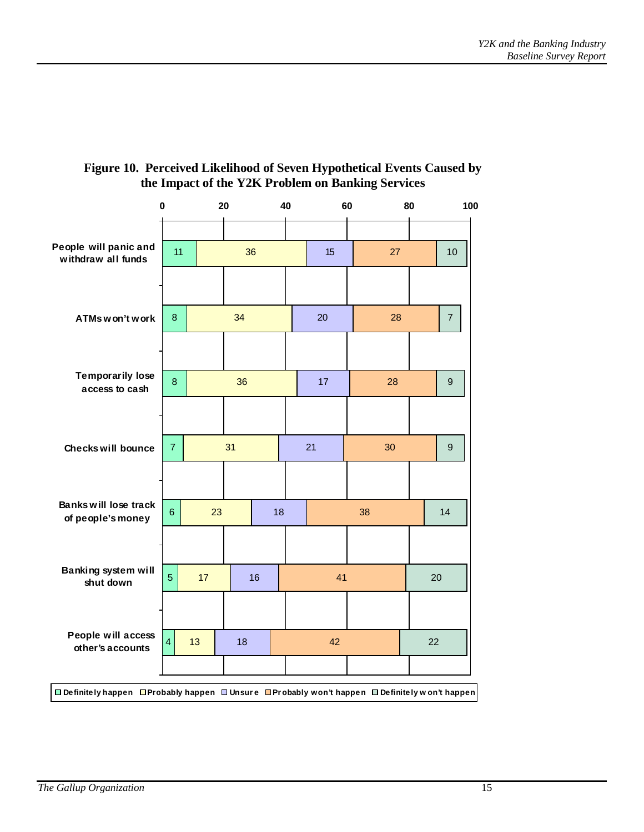

### **Figure 10. Perceived Likelihood of Seven Hypothetical Events Caused by the Impact of the Y2K Problem on Banking Services**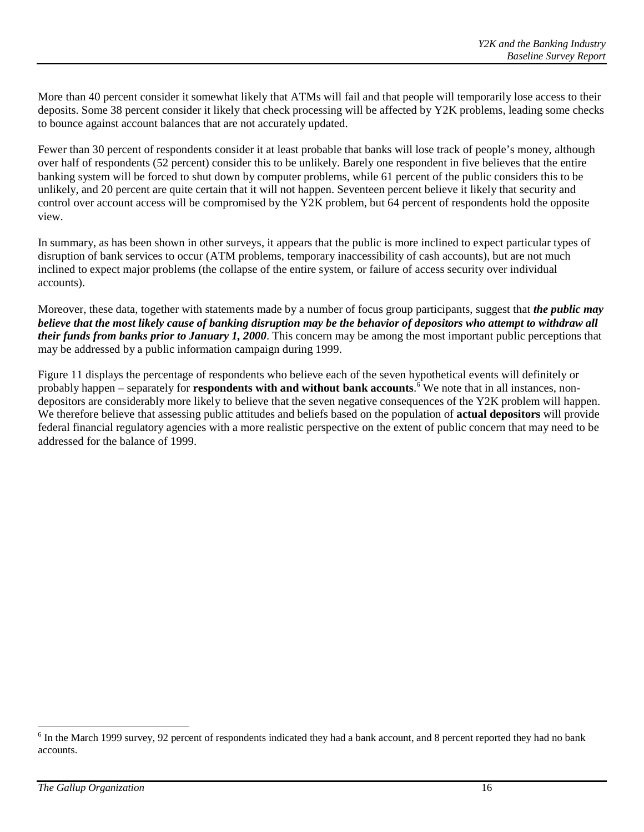More than 40 percent consider it somewhat likely that ATMs will fail and that people will temporarily lose access to their deposits. Some 38 percent consider it likely that check processing will be affected by Y2K problems, leading some checks to bounce against account balances that are not accurately updated.

Fewer than 30 percent of respondents consider it at least probable that banks will lose track of people's money, although over half of respondents (52 percent) consider this to be unlikely. Barely one respondent in five believes that the entire banking system will be forced to shut down by computer problems, while 61 percent of the public considers this to be unlikely, and 20 percent are quite certain that it will not happen. Seventeen percent believe it likely that security and control over account access will be compromised by the Y2K problem, but 64 percent of respondents hold the opposite view.

In summary, as has been shown in other surveys, it appears that the public is more inclined to expect particular types of disruption of bank services to occur (ATM problems, temporary inaccessibility of cash accounts), but are not much inclined to expect major problems (the collapse of the entire system, or failure of access security over individual accounts).

Moreover, these data, together with statements made by a number of focus group participants, suggest that *the public may believe that the most likely cause of banking disruption may be the behavior of depositors who attempt to withdraw all their funds from banks prior to January 1, 2000*. This concern may be among the most important public perceptions that may be addressed by a public information campaign during 1999.

Figure 11 displays the percentage of respondents who believe each of the seven hypothetical events will definitely or probably happen – separately for **respondents with and without bank accounts**. 6 We note that in all instances, nondepositors are considerably more likely to believe that the seven negative consequences of the Y2K problem will happen. We therefore believe that assessing public attitudes and beliefs based on the population of **actual depositors** will provide federal financial regulatory agencies with a more realistic perspective on the extent of public concern that may need to be addressed for the balance of 1999.

 $\overline{a}$ 

<sup>&</sup>lt;sup>6</sup> In the March 1999 survey, 92 percent of respondents indicated they had a bank account, and 8 percent reported they had no bank accounts.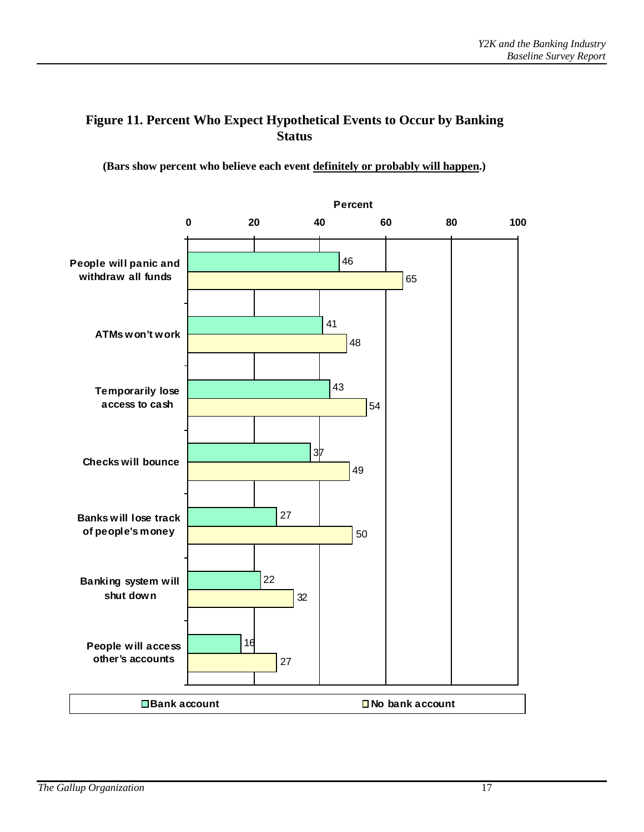### **Figure 11. Percent Who Expect Hypothetical Events to Occur by Banking Status**

**(Bars show percent who believe each event definitely or probably will happen.)**

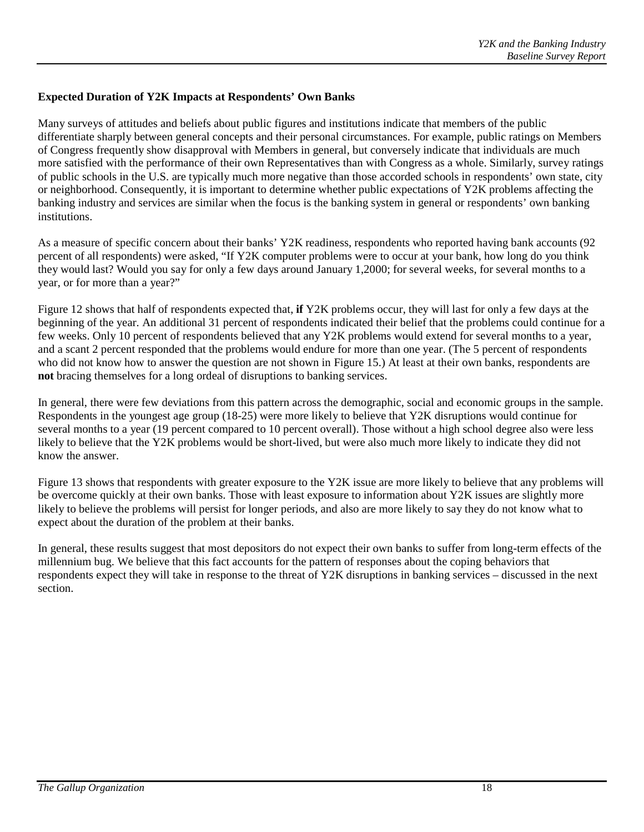### **Expected Duration of Y2K Impacts at Respondents' Own Banks**

Many surveys of attitudes and beliefs about public figures and institutions indicate that members of the public differentiate sharply between general concepts and their personal circumstances. For example, public ratings on Members of Congress frequently show disapproval with Members in general, but conversely indicate that individuals are much more satisfied with the performance of their own Representatives than with Congress as a whole. Similarly, survey ratings of public schools in the U.S. are typically much more negative than those accorded schools in respondents' own state, city or neighborhood. Consequently, it is important to determine whether public expectations of Y2K problems affecting the banking industry and services are similar when the focus is the banking system in general or respondents' own banking institutions.

As a measure of specific concern about their banks' Y2K readiness, respondents who reported having bank accounts (92 percent of all respondents) were asked, "If Y2K computer problems were to occur at your bank, how long do you think they would last? Would you say for only a few days around January 1,2000; for several weeks, for several months to a year, or for more than a year?"

Figure 12 shows that half of respondents expected that, **if** Y2K problems occur, they will last for only a few days at the beginning of the year. An additional 31 percent of respondents indicated their belief that the problems could continue for a few weeks. Only 10 percent of respondents believed that any Y2K problems would extend for several months to a year, and a scant 2 percent responded that the problems would endure for more than one year. (The 5 percent of respondents who did not know how to answer the question are not shown in Figure 15.) At least at their own banks, respondents are **not** bracing themselves for a long ordeal of disruptions to banking services.

In general, there were few deviations from this pattern across the demographic, social and economic groups in the sample. Respondents in the youngest age group (18-25) were more likely to believe that Y2K disruptions would continue for several months to a year (19 percent compared to 10 percent overall). Those without a high school degree also were less likely to believe that the Y2K problems would be short-lived, but were also much more likely to indicate they did not know the answer.

Figure 13 shows that respondents with greater exposure to the Y2K issue are more likely to believe that any problems will be overcome quickly at their own banks. Those with least exposure to information about Y2K issues are slightly more likely to believe the problems will persist for longer periods, and also are more likely to say they do not know what to expect about the duration of the problem at their banks.

In general, these results suggest that most depositors do not expect their own banks to suffer from long-term effects of the millennium bug. We believe that this fact accounts for the pattern of responses about the coping behaviors that respondents expect they will take in response to the threat of Y2K disruptions in banking services – discussed in the next section.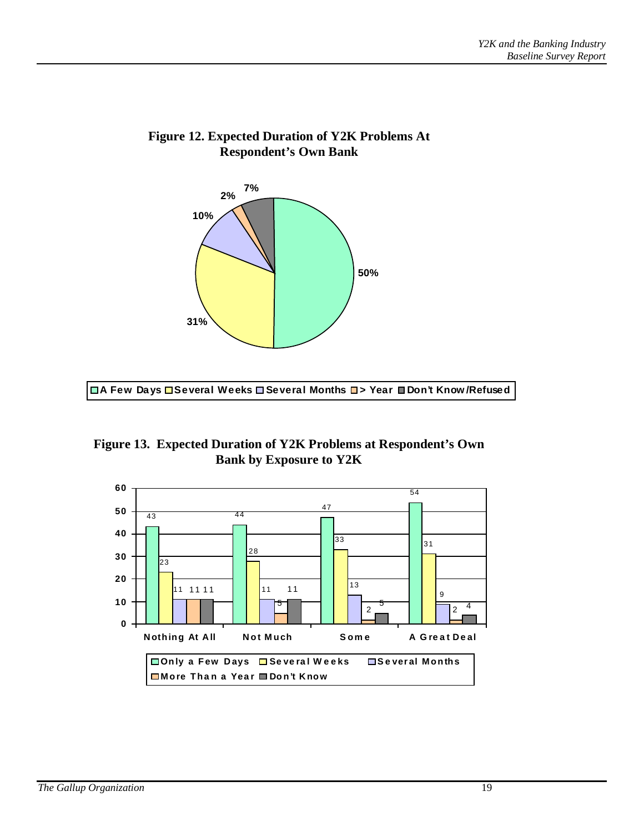

### **Figure 12. Expected Duration of Y2K Problems At Respondent's Own Bank**

**A Few Days Several Weeks Several Months > Year Don't Know /Refused**

**Figure 13. Expected Duration of Y2K Problems at Respondent's Own Bank by Exposure to Y2K**

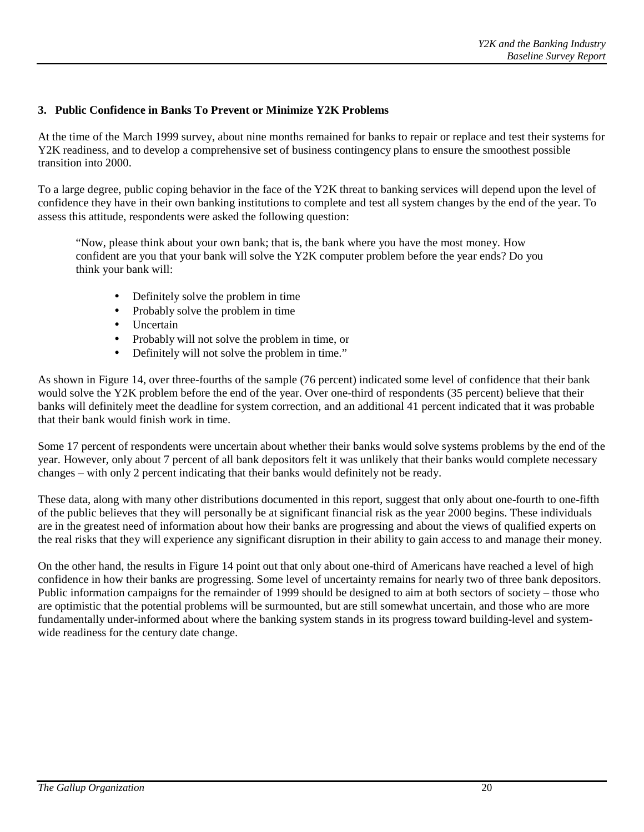#### **3. Public Confidence in Banks To Prevent or Minimize Y2K Problems**

At the time of the March 1999 survey, about nine months remained for banks to repair or replace and test their systems for Y2K readiness, and to develop a comprehensive set of business contingency plans to ensure the smoothest possible transition into 2000.

To a large degree, public coping behavior in the face of the Y2K threat to banking services will depend upon the level of confidence they have in their own banking institutions to complete and test all system changes by the end of the year. To assess this attitude, respondents were asked the following question:

"Now, please think about your own bank; that is, the bank where you have the most money. How confident are you that your bank will solve the Y2K computer problem before the year ends? Do you think your bank will:

- Definitely solve the problem in time
- Probably solve the problem in time
- Uncertain
- Probably will not solve the problem in time, or
- Definitely will not solve the problem in time."

As shown in Figure 14, over three-fourths of the sample (76 percent) indicated some level of confidence that their bank would solve the Y2K problem before the end of the year. Over one-third of respondents (35 percent) believe that their banks will definitely meet the deadline for system correction, and an additional 41 percent indicated that it was probable that their bank would finish work in time.

Some 17 percent of respondents were uncertain about whether their banks would solve systems problems by the end of the year. However, only about 7 percent of all bank depositors felt it was unlikely that their banks would complete necessary changes – with only 2 percent indicating that their banks would definitely not be ready.

These data, along with many other distributions documented in this report, suggest that only about one-fourth to one-fifth of the public believes that they will personally be at significant financial risk as the year 2000 begins. These individuals are in the greatest need of information about how their banks are progressing and about the views of qualified experts on the real risks that they will experience any significant disruption in their ability to gain access to and manage their money.

On the other hand, the results in Figure 14 point out that only about one-third of Americans have reached a level of high confidence in how their banks are progressing. Some level of uncertainty remains for nearly two of three bank depositors. Public information campaigns for the remainder of 1999 should be designed to aim at both sectors of society – those who are optimistic that the potential problems will be surmounted, but are still somewhat uncertain, and those who are more fundamentally under-informed about where the banking system stands in its progress toward building-level and systemwide readiness for the century date change.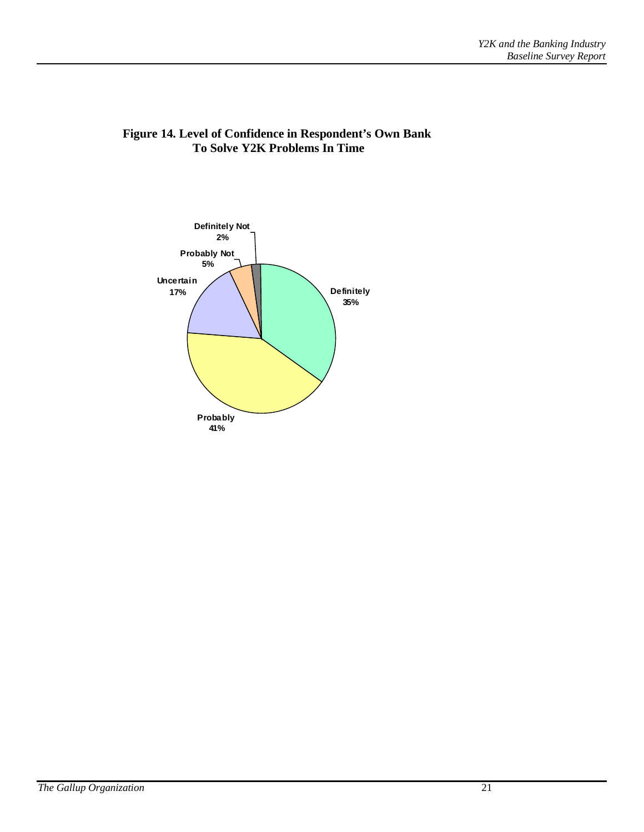

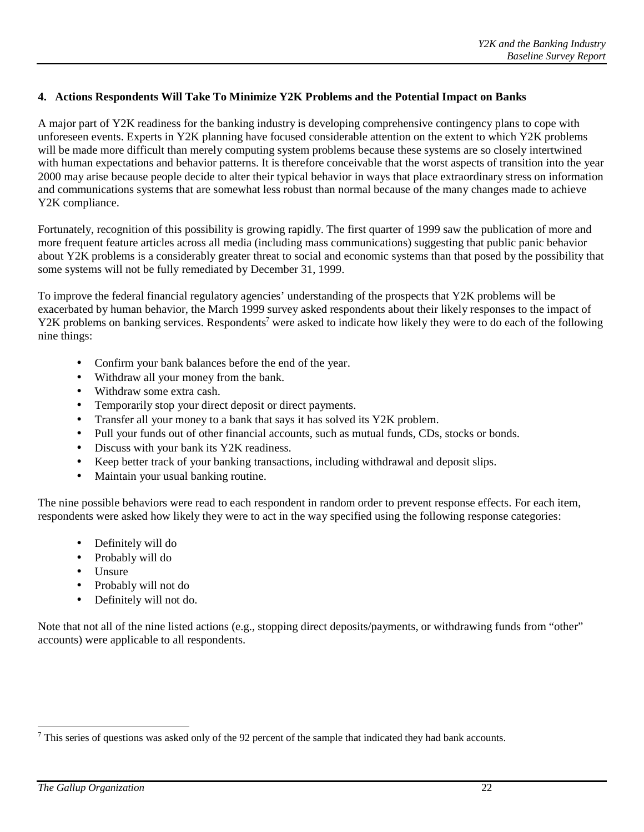#### **4. Actions Respondents Will Take To Minimize Y2K Problems and the Potential Impact on Banks**

A major part of Y2K readiness for the banking industry is developing comprehensive contingency plans to cope with unforeseen events. Experts in Y2K planning have focused considerable attention on the extent to which Y2K problems will be made more difficult than merely computing system problems because these systems are so closely intertwined with human expectations and behavior patterns. It is therefore conceivable that the worst aspects of transition into the year 2000 may arise because people decide to alter their typical behavior in ways that place extraordinary stress on information and communications systems that are somewhat less robust than normal because of the many changes made to achieve Y2K compliance.

Fortunately, recognition of this possibility is growing rapidly. The first quarter of 1999 saw the publication of more and more frequent feature articles across all media (including mass communications) suggesting that public panic behavior about Y2K problems is a considerably greater threat to social and economic systems than that posed by the possibility that some systems will not be fully remediated by December 31, 1999.

To improve the federal financial regulatory agencies' understanding of the prospects that Y2K problems will be exacerbated by human behavior, the March 1999 survey asked respondents about their likely responses to the impact of Y2K problems on banking services. Respondents<sup>7</sup> were asked to indicate how likely they were to do each of the following nine things:

- Confirm your bank balances before the end of the year.
- Withdraw all your money from the bank.
- Withdraw some extra cash.
- Temporarily stop your direct deposit or direct payments.
- Transfer all your money to a bank that says it has solved its Y2K problem.
- Pull your funds out of other financial accounts, such as mutual funds, CDs, stocks or bonds.
- Discuss with your bank its Y2K readiness.
- Keep better track of your banking transactions, including withdrawal and deposit slips.
- Maintain your usual banking routine.

The nine possible behaviors were read to each respondent in random order to prevent response effects. For each item, respondents were asked how likely they were to act in the way specified using the following response categories:

- Definitely will do
- Probably will do
- Unsure
- Probably will not do
- Definitely will not do.

Note that not all of the nine listed actions (e.g., stopping direct deposits/payments, or withdrawing funds from "other" accounts) were applicable to all respondents.

<sup>&</sup>lt;sup>7</sup> This series of questions was asked only of the 92 percent of the sample that indicated they had bank accounts.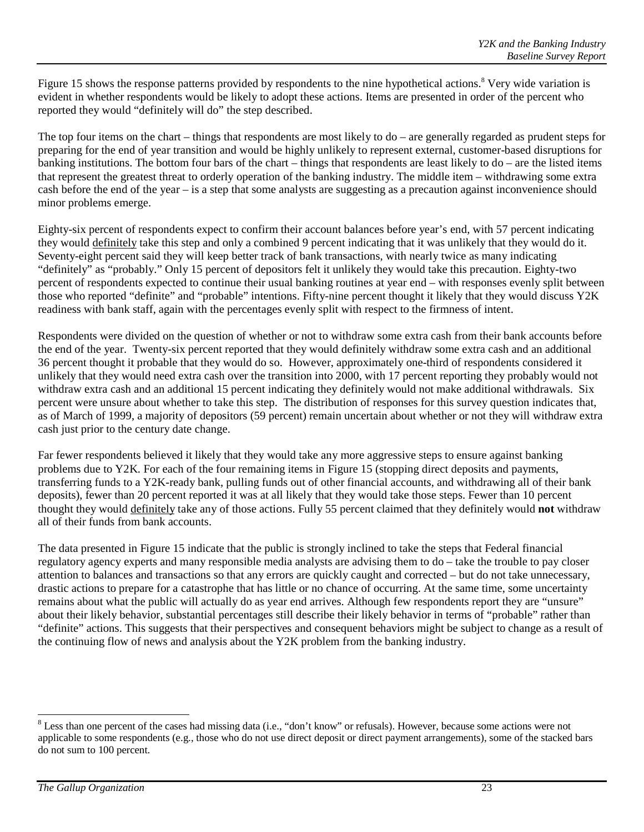Figure 15 shows the response patterns provided by respondents to the nine hypothetical actions.<sup>8</sup> Very wide variation is evident in whether respondents would be likely to adopt these actions. Items are presented in order of the percent who reported they would "definitely will do" the step described.

The top four items on the chart – things that respondents are most likely to do – are generally regarded as prudent steps for preparing for the end of year transition and would be highly unlikely to represent external, customer-based disruptions for banking institutions. The bottom four bars of the chart – things that respondents are least likely to do – are the listed items that represent the greatest threat to orderly operation of the banking industry. The middle item – withdrawing some extra cash before the end of the year – is a step that some analysts are suggesting as a precaution against inconvenience should minor problems emerge.

Eighty-six percent of respondents expect to confirm their account balances before year's end, with 57 percent indicating they would definitely take this step and only a combined 9 percent indicating that it was unlikely that they would do it. Seventy-eight percent said they will keep better track of bank transactions, with nearly twice as many indicating "definitely" as "probably." Only 15 percent of depositors felt it unlikely they would take this precaution. Eighty-two percent of respondents expected to continue their usual banking routines at year end – with responses evenly split between those who reported "definite" and "probable" intentions. Fifty-nine percent thought it likely that they would discuss Y2K readiness with bank staff, again with the percentages evenly split with respect to the firmness of intent.

Respondents were divided on the question of whether or not to withdraw some extra cash from their bank accounts before the end of the year. Twenty-six percent reported that they would definitely withdraw some extra cash and an additional 36 percent thought it probable that they would do so. However, approximately one-third of respondents considered it unlikely that they would need extra cash over the transition into 2000, with 17 percent reporting they probably would not withdraw extra cash and an additional 15 percent indicating they definitely would not make additional withdrawals. Six percent were unsure about whether to take this step. The distribution of responses for this survey question indicates that, as of March of 1999, a majority of depositors (59 percent) remain uncertain about whether or not they will withdraw extra cash just prior to the century date change.

Far fewer respondents believed it likely that they would take any more aggressive steps to ensure against banking problems due to Y2K. For each of the four remaining items in Figure 15 (stopping direct deposits and payments, transferring funds to a Y2K-ready bank, pulling funds out of other financial accounts, and withdrawing all of their bank deposits), fewer than 20 percent reported it was at all likely that they would take those steps. Fewer than 10 percent thought they would definitely take any of those actions. Fully 55 percent claimed that they definitely would **not** withdraw all of their funds from bank accounts.

The data presented in Figure 15 indicate that the public is strongly inclined to take the steps that Federal financial regulatory agency experts and many responsible media analysts are advising them to do – take the trouble to pay closer attention to balances and transactions so that any errors are quickly caught and corrected – but do not take unnecessary, drastic actions to prepare for a catastrophe that has little or no chance of occurring. At the same time, some uncertainty remains about what the public will actually do as year end arrives. Although few respondents report they are "unsure" about their likely behavior, substantial percentages still describe their likely behavior in terms of "probable" rather than "definite" actions. This suggests that their perspectives and consequent behaviors might be subject to change as a result of the continuing flow of news and analysis about the Y2K problem from the banking industry.

 $\overline{a}$ 

 $8$  Less than one percent of the cases had missing data (i.e., "don't know" or refusals). However, because some actions were not applicable to some respondents (e.g., those who do not use direct deposit or direct payment arrangements), some of the stacked bars do not sum to 100 percent.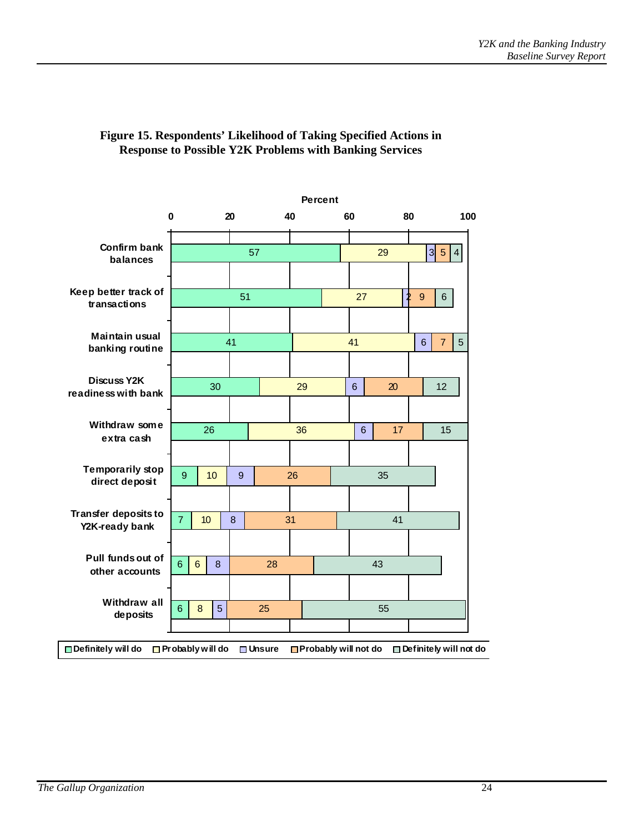

### **Figure 15. Respondents' Likelihood of Taking Specified Actions in Response to Possible Y2K Problems with Banking Services**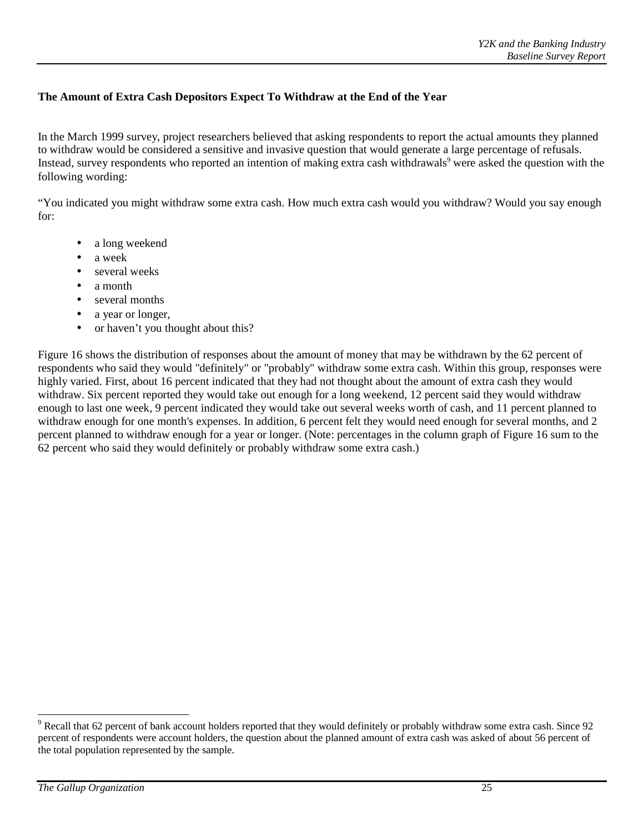### **The Amount of Extra Cash Depositors Expect To Withdraw at the End of the Year**

In the March 1999 survey, project researchers believed that asking respondents to report the actual amounts they planned to withdraw would be considered a sensitive and invasive question that would generate a large percentage of refusals. Instead, survey respondents who reported an intention of making extra cash withdrawals<sup>9</sup> were asked the question with the following wording:

"You indicated you might withdraw some extra cash. How much extra cash would you withdraw? Would you say enough for:

- a long weekend
- a week
- several weeks
- a month
- several months
- a year or longer,
- or haven't you thought about this?

Figure 16 shows the distribution of responses about the amount of money that may be withdrawn by the 62 percent of respondents who said they would "definitely" or "probably" withdraw some extra cash. Within this group, responses were highly varied. First, about 16 percent indicated that they had not thought about the amount of extra cash they would withdraw. Six percent reported they would take out enough for a long weekend, 12 percent said they would withdraw enough to last one week, 9 percent indicated they would take out several weeks worth of cash, and 11 percent planned to withdraw enough for one month's expenses. In addition, 6 percent felt they would need enough for several months, and 2 percent planned to withdraw enough for a year or longer. (Note: percentages in the column graph of Figure 16 sum to the 62 percent who said they would definitely or probably withdraw some extra cash.)

 $\overline{a}$ 

 $9$  Recall that 62 percent of bank account holders reported that they would definitely or probably withdraw some extra cash. Since 92 percent of respondents were account holders, the question about the planned amount of extra cash was asked of about 56 percent of the total population represented by the sample.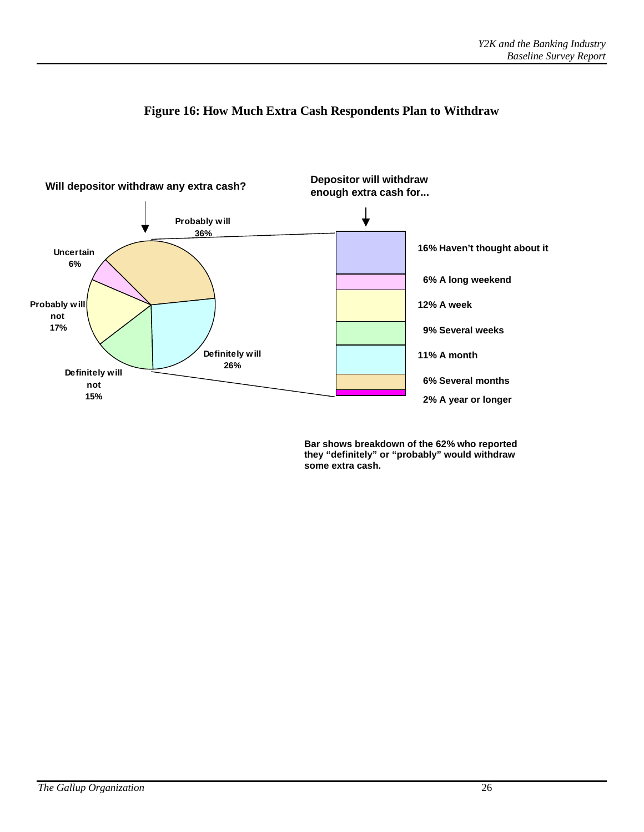

### **Figure 16: How Much Extra Cash Respondents Plan to Withdraw**

**Bar shows breakdown of the 62% who reported they "definitely" or "probably" would withdraw some extra cash.**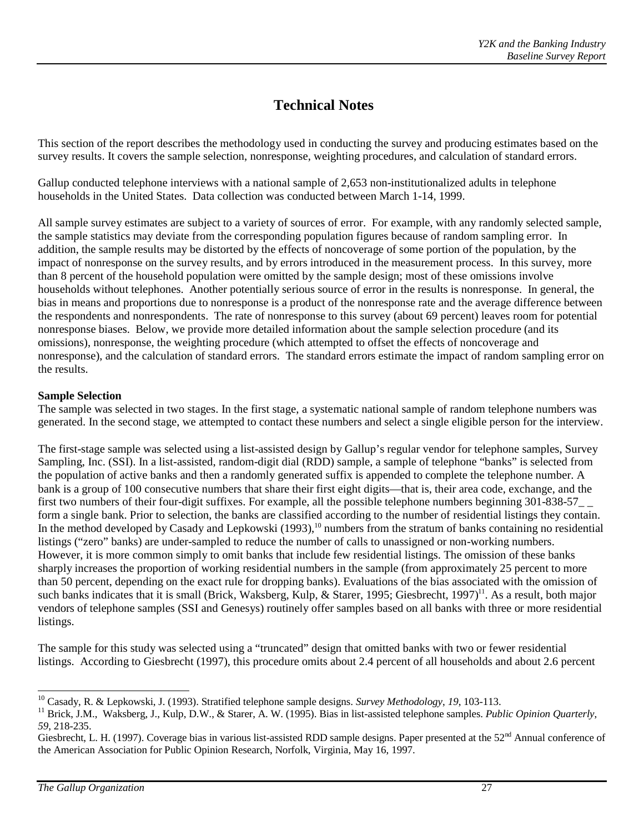# **Technical Notes**

This section of the report describes the methodology used in conducting the survey and producing estimates based on the survey results. It covers the sample selection, nonresponse, weighting procedures, and calculation of standard errors.

Gallup conducted telephone interviews with a national sample of 2,653 non-institutionalized adults in telephone households in the United States. Data collection was conducted between March 1-14, 1999.

All sample survey estimates are subject to a variety of sources of error. For example, with any randomly selected sample, the sample statistics may deviate from the corresponding population figures because of random sampling error. In addition, the sample results may be distorted by the effects of noncoverage of some portion of the population, by the impact of nonresponse on the survey results, and by errors introduced in the measurement process. In this survey, more than 8 percent of the household population were omitted by the sample design; most of these omissions involve households without telephones. Another potentially serious source of error in the results is nonresponse. In general, the bias in means and proportions due to nonresponse is a product of the nonresponse rate and the average difference between the respondents and nonrespondents. The rate of nonresponse to this survey (about 69 percent) leaves room for potential nonresponse biases. Below, we provide more detailed information about the sample selection procedure (and its omissions), nonresponse, the weighting procedure (which attempted to offset the effects of noncoverage and nonresponse), and the calculation of standard errors. The standard errors estimate the impact of random sampling error on the results.

#### **Sample Selection**

The sample was selected in two stages. In the first stage, a systematic national sample of random telephone numbers was generated. In the second stage, we attempted to contact these numbers and select a single eligible person for the interview.

The first-stage sample was selected using a list-assisted design by Gallup's regular vendor for telephone samples, Survey Sampling, Inc. (SSI). In a list-assisted, random-digit dial (RDD) sample, a sample of telephone "banks" is selected from the population of active banks and then a randomly generated suffix is appended to complete the telephone number. A bank is a group of 100 consecutive numbers that share their first eight digits—that is, their area code, exchange, and the first two numbers of their four-digit suffixes. For example, all the possible telephone numbers beginning 301-838-57\_ \_ form a single bank. Prior to selection, the banks are classified according to the number of residential listings they contain. In the method developed by Casady and Lepkowski  $(1993)$ ,<sup>10</sup> numbers from the stratum of banks containing no residential listings ("zero" banks) are under-sampled to reduce the number of calls to unassigned or non-working numbers. However, it is more common simply to omit banks that include few residential listings. The omission of these banks sharply increases the proportion of working residential numbers in the sample (from approximately 25 percent to more than 50 percent, depending on the exact rule for dropping banks). Evaluations of the bias associated with the omission of such banks indicates that it is small (Brick, Waksberg, Kulp, & Starer, 1995; Giesbrecht, 1997)<sup>11</sup>. As a result, both major vendors of telephone samples (SSI and Genesys) routinely offer samples based on all banks with three or more residential listings.

The sample for this study was selected using a "truncated" design that omitted banks with two or fewer residential listings. According to Giesbrecht (1997), this procedure omits about 2.4 percent of all households and about 2.6 percent

 $^{10}$  Casady, R. & Lepkowski, J. (1993). Stratified telephone sample designs. Survey Methodology, 19, 103-113.

<sup>&</sup>lt;sup>11</sup> Brick, J.M., Waksberg, J., Kulp, D.W., & Starer, A.W. (1995). Bias in list-assisted telephone samples. Public Opinion Quarterly, *59*, 218-235.

Giesbrecht, L. H. (1997). Coverage bias in various list-assisted RDD sample designs. Paper presented at the  $52<sup>nd</sup>$  Annual conference of the American Association for Public Opinion Research, Norfolk, Virginia, May 16, 1997.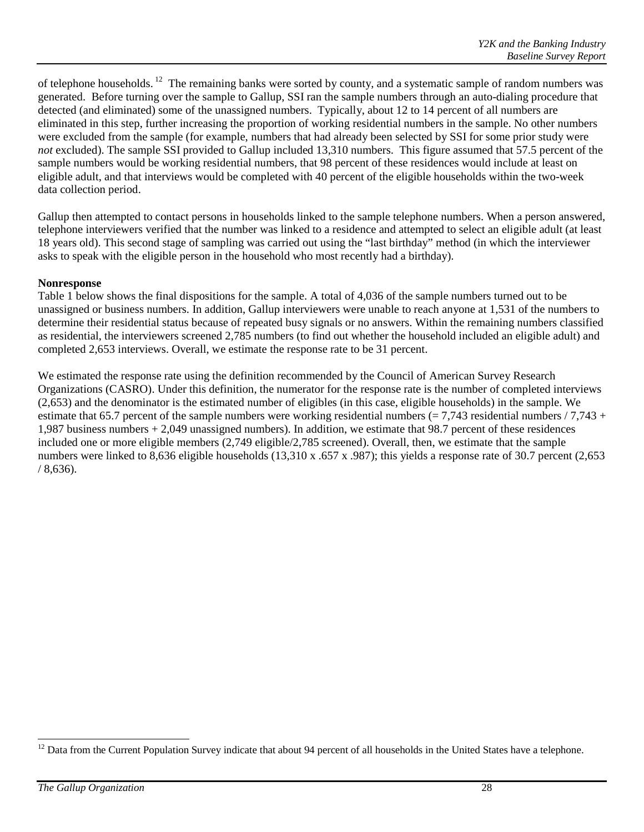of telephone households. 12 The remaining banks were sorted by county, and a systematic sample of random numbers was generated. Before turning over the sample to Gallup, SSI ran the sample numbers through an auto-dialing procedure that detected (and eliminated) some of the unassigned numbers. Typically, about 12 to 14 percent of all numbers are eliminated in this step, further increasing the proportion of working residential numbers in the sample. No other numbers were excluded from the sample (for example, numbers that had already been selected by SSI for some prior study were *not* excluded). The sample SSI provided to Gallup included 13,310 numbers. This figure assumed that 57.5 percent of the sample numbers would be working residential numbers, that 98 percent of these residences would include at least on eligible adult, and that interviews would be completed with 40 percent of the eligible households within the two-week data collection period.

Gallup then attempted to contact persons in households linked to the sample telephone numbers. When a person answered, telephone interviewers verified that the number was linked to a residence and attempted to select an eligible adult (at least 18 years old). This second stage of sampling was carried out using the "last birthday" method (in which the interviewer asks to speak with the eligible person in the household who most recently had a birthday).

#### **Nonresponse**

Table 1 below shows the final dispositions for the sample. A total of 4,036 of the sample numbers turned out to be unassigned or business numbers. In addition, Gallup interviewers were unable to reach anyone at 1,531 of the numbers to determine their residential status because of repeated busy signals or no answers. Within the remaining numbers classified as residential, the interviewers screened 2,785 numbers (to find out whether the household included an eligible adult) and completed 2,653 interviews. Overall, we estimate the response rate to be 31 percent.

We estimated the response rate using the definition recommended by the Council of American Survey Research Organizations (CASRO). Under this definition, the numerator for the response rate is the number of completed interviews (2,653) and the denominator is the estimated number of eligibles (in this case, eligible households) in the sample. We estimate that 65.7 percent of the sample numbers were working residential numbers  $(= 7,743)$  residential numbers  $/7,743 +$ 1,987 business numbers + 2,049 unassigned numbers). In addition, we estimate that 98.7 percent of these residences included one or more eligible members (2,749 eligible/2,785 screened). Overall, then, we estimate that the sample numbers were linked to 8,636 eligible households (13,310 x .657 x .987); this yields a response rate of 30.7 percent (2,653 / 8,636).

 $\overline{a}$  $12$  Data from the Current Population Survey indicate that about 94 percent of all households in the United States have a telephone.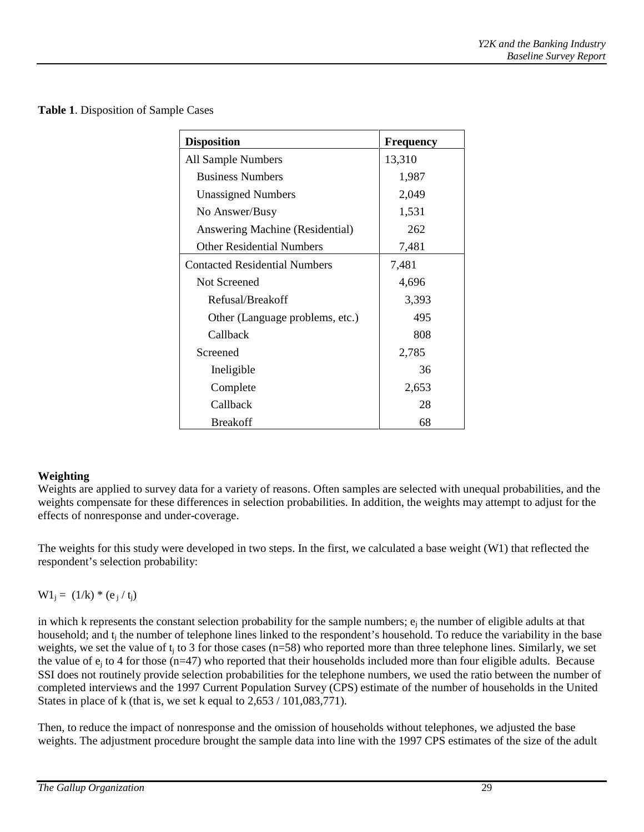|  |  |  |  | Table 1. Disposition of Sample Cases |  |
|--|--|--|--|--------------------------------------|--|
|--|--|--|--|--------------------------------------|--|

| <b>Disposition</b>                   | <b>Frequency</b> |
|--------------------------------------|------------------|
| All Sample Numbers                   | 13,310           |
| <b>Business Numbers</b>              | 1,987            |
| <b>Unassigned Numbers</b>            | 2,049            |
| No Answer/Busy                       | 1,531            |
| Answering Machine (Residential)      | 262              |
| <b>Other Residential Numbers</b>     | 7,481            |
| <b>Contacted Residential Numbers</b> | 7,481            |
| Not Screened                         | 4,696            |
| Refusal/Breakoff                     | 3,393            |
| Other (Language problems, etc.)      | 495              |
| Callback                             | 808              |
| Screened                             | 2,785            |
| Ineligible                           | 36               |
| Complete                             | 2,653            |
| Callback                             | 28               |
| <b>Breakoff</b>                      | 68               |

### **Weighting**

Weights are applied to survey data for a variety of reasons. Often samples are selected with unequal probabilities, and the weights compensate for these differences in selection probabilities. In addition, the weights may attempt to adjust for the effects of nonresponse and under-coverage.

The weights for this study were developed in two steps. In the first, we calculated a base weight (W1) that reflected the respondent's selection probability:

 $W1_i = (1/k) * (e_i / t_i)$ 

in which k represents the constant selection probability for the sample numbers;  $e_i$  the number of eligible adults at that household; and  $t_i$  the number of telephone lines linked to the respondent's household. To reduce the variability in the base weights, we set the value of  $t_i$  to 3 for those cases (n=58) who reported more than three telephone lines. Similarly, we set the value of  $e_i$  to 4 for those ( $n=47$ ) who reported that their households included more than four eligible adults. Because SSI does not routinely provide selection probabilities for the telephone numbers, we used the ratio between the number of completed interviews and the 1997 Current Population Survey (CPS) estimate of the number of households in the United States in place of k (that is, we set k equal to  $2,653 / 101,083,771$ ).

Then, to reduce the impact of nonresponse and the omission of households without telephones, we adjusted the base weights. The adjustment procedure brought the sample data into line with the 1997 CPS estimates of the size of the adult